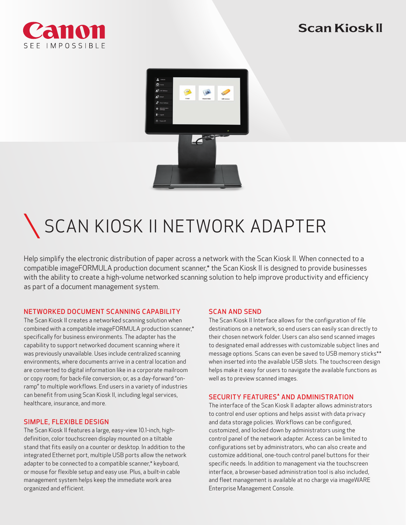

# Scan Kiosk II



# SCAN KIOSK II NETWORK ADAPTER

Help simplify the electronic distribution of paper across a network with the Scan Kiosk II. When connected to a compatible imageFORMULA production document scanner,\* the Scan Kiosk II is designed to provide businesses with the ability to create a high-volume networked scanning solution to help improve productivity and efficiency as part of a document management system.

#### NETWORKED DOCUMENT SCANNING CAPABILITY

The Scan Kiosk II creates a networked scanning solution when combined with a compatible imageFORMULA production scanner,\* specifically for business environments. The adapter has the capability to support networked document scanning where it was previously unavailable. Uses include centralized scanning environments, where documents arrive in a central location and are converted to digital information like in a corporate mailroom or copy room; for back-file conversion; or, as a day-forward "onramp" to multiple workflows. End users in a variety of industries can benefit from using Scan Kiosk II, including legal services, healthcare, insurance, and more.

#### SIMPLE, FLEXIBLE DESIGN

The Scan Kiosk II features a large, easy-view 10.1-inch, highdefinition, color touchscreen display mounted on a tiltable stand that fits easily on a counter or desktop. In addition to the integrated Ethernet port, multiple USB ports allow the network adapter to be connected to a compatible scanner,\* keyboard, or mouse for flexible setup and easy use. Plus, a built-in cable management system helps keep the immediate work area organized and efficient.

#### SCAN AND SEND

The Scan Kiosk II Interface allows for the configuration of file destinations on a network, so end users can easily scan directly to their chosen network folder. Users can also send scanned images to designated email addresses with customizable subject lines and message options. Scans can even be saved to USB memory sticks\*\* when inserted into the available USB slots. The touchscreen design helps make it easy for users to navigate the available functions as well as to preview scanned images.

#### SECURITY FEATURES<sup>\*</sup> AND ADMINISTRATION

The interface of the Scan Kiosk II adapter allows administrators to control end user options and helps assist with data privacy and data storage policies. Workflows can be configured, customized, and locked down by administrators using the control panel of the network adapter. Access can be limited to configurations set by administrators, who can also create and customize additional, one-touch control panel buttons for their specific needs. In addition to management via the touchscreen interface, a browser-based administration tool is also included, and fleet management is available at no charge via imageWARE Enterprise Management Console.